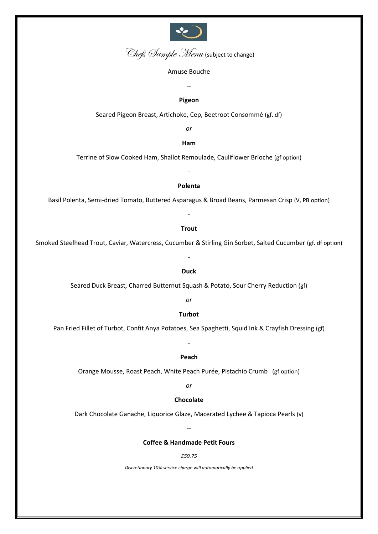

Chefs Sample Menu (subject to change)

#### Amuse Bouche

**Pigeon**

--

Seared Pigeon Breast, Artichoke, Cep, Beetroot Consommé (gf. df)

*or* 

**Ham**

Terrine of Slow Cooked Ham, Shallot Remoulade, Cauliflower Brioche (gf option)

-

## **Polenta**

Basil Polenta, Semi-dried Tomato, Buttered Asparagus & Broad Beans, Parmesan Crisp (V, PB option)

-

#### **Trout**

Smoked Steelhead Trout, Caviar, Watercress, Cucumber & Stirling Gin Sorbet, Salted Cucumber (gf. df option)

#### **Duck**

-

Seared Duck Breast, Charred Butternut Squash & Potato, Sour Cherry Reduction (gf)

*or*

# **Turbot**

Pan Fried Fillet of Turbot, Confit Anya Potatoes, Sea Spaghetti, Squid Ink & Crayfish Dressing (gf)

-

#### **Peach**

Orange Mousse, Roast Peach, White Peach Purée, Pistachio Crumb (gf option)

*or* 

# **Chocolate**

Dark Chocolate Ganache, Liquorice Glaze, Macerated Lychee & Tapioca Pearls (v)

--

# **Coffee & Handmade Petit Fours**

# *£59.75*

*Discretionary 10% service charge will automatically be applied*